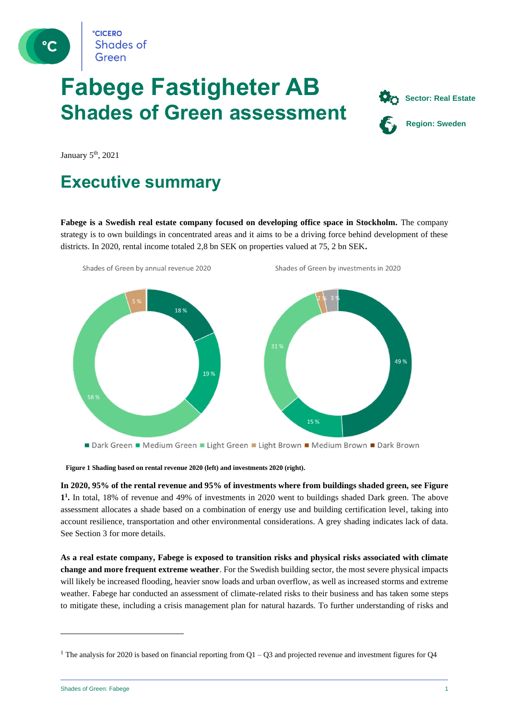

# **Fabege Fastigheter AB Shades of Green assessment**



January 5<sup>th</sup>, 2021

### **Executive summary**

**Fabege is a Swedish real estate company focused on developing office space in Stockholm.** The company strategy is to own buildings in concentrated areas and it aims to be a driving force behind development of these districts. In 2020, rental income totaled 2,8 bn SEK on properties valued at 75, 2 bn SEK**.**



**Figure 1 Shading based on rental revenue 2020 (left) and investments 2020 (right).**

**In 2020, 95% of the rental revenue and 95% of investments where from buildings shaded green, see Figure 1 1 .** In total, 18% of revenue and 49% of investments in 2020 went to buildings shaded Dark green. The above assessment allocates a shade based on a combination of energy use and building certification level, taking into account resilience, transportation and other environmental considerations. A grey shading indicates lack of data. See Section 3 for more details.

**As a real estate company, Fabege is exposed to transition risks and physical risks associated with climate change and more frequent extreme weather**. For the Swedish building sector, the most severe physical impacts will likely be increased flooding, heavier snow loads and urban overflow, as well as increased storms and extreme weather. Fabege har conducted an assessment of climate-related risks to their business and has taken some steps to mitigate these, including a crisis management plan for natural hazards. To further understanding of risks and

<sup>&</sup>lt;sup>1</sup> The analysis for 2020 is based on financial reporting from  $Q1 - Q3$  and projected revenue and investment figures for  $Q4$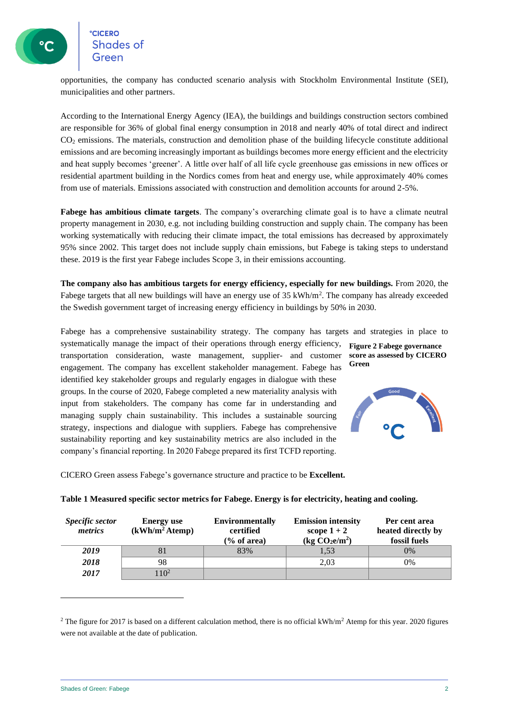opportunities, the company has conducted scenario analysis with Stockholm Environmental Institute (SEI), municipalities and other partners.

According to the International Energy Agency (IEA), the buildings and buildings construction sectors combined are responsible for 36% of global final energy consumption in 2018 and nearly 40% of total direct and indirect CO<sup>2</sup> emissions. The materials, construction and demolition phase of the building lifecycle constitute additional emissions and are becoming increasingly important as buildings becomes more energy efficient and the electricity and heat supply becomes 'greener'. A little over half of all life cycle greenhouse gas emissions in new offices or residential apartment building in the Nordics comes from heat and energy use, while approximately 40% comes from use of materials. Emissions associated with construction and demolition accounts for around 2-5%.

**Fabege has ambitious climate targets**. The company's overarching climate goal is to have a climate neutral property management in 2030, e.g. not including building construction and supply chain. The company has been working systematically with reducing their climate impact, the total emissions has decreased by approximately 95% since 2002. This target does not include supply chain emissions, but Fabege is taking steps to understand these. 2019 is the first year Fabege includes Scope 3, in their emissions accounting.

**The company also has ambitious targets for energy efficiency, especially for new buildings.** From 2020, the Fabege targets that all new buildings will have an energy use of 35 kWh/m<sup>2</sup>. The company has already exceeded the Swedish government target of increasing energy efficiency in buildings by 50% in 2030.

Fabege has a comprehensive sustainability strategy. The company has targets and strategies in place to

systematically manage the impact of their operations through energy efficiency, transportation consideration, waste management, supplier- and customer engagement. The company has excellent stakeholder management. Fabege has identified key stakeholder groups and regularly engages in dialogue with these groups. In the course of 2020, Fabege completed a new materiality analysis with input from stakeholders. The company has come far in understanding and managing supply chain sustainability. This includes a sustainable sourcing strategy, inspections and dialogue with suppliers. Fabege has comprehensive sustainability reporting and key sustainability metrics are also included in the company's financial reporting. In 2020 Fabege prepared its first TCFD reporting.

**Figure 2 Fabege governance score as assessed by CICERO Green**



CICERO Green assess Fabege's governance structure and practice to be **Excellent.** 

| Specific sector<br>metrics | <b>Energy</b> use<br>(kWh/m <sup>2</sup> A temp) | <b>Environmentally</b><br>certified<br>$\frac{6}{6}$ of area) | <b>Emission intensity</b><br>scope $1+2$<br>(kg CO <sub>2</sub> e/m <sup>2</sup> ) | Per cent area<br>heated directly by<br>fossil fuels |
|----------------------------|--------------------------------------------------|---------------------------------------------------------------|------------------------------------------------------------------------------------|-----------------------------------------------------|
| 2019                       |                                                  | 83%                                                           | 1,53                                                                               | 0%                                                  |
| 2018                       | 98                                               |                                                               | 2.03                                                                               | $0\%$                                               |
| 2017                       | 10 <sup>2</sup>                                  |                                                               |                                                                                    |                                                     |

**Table 1 Measured specific sector metrics for Fabege. Energy is for electricity, heating and cooling.**

<sup>&</sup>lt;sup>2</sup> The figure for 2017 is based on a different calculation method, there is no official  $kWh/m^2$  Atemp for this year. 2020 figures were not available at the date of publication.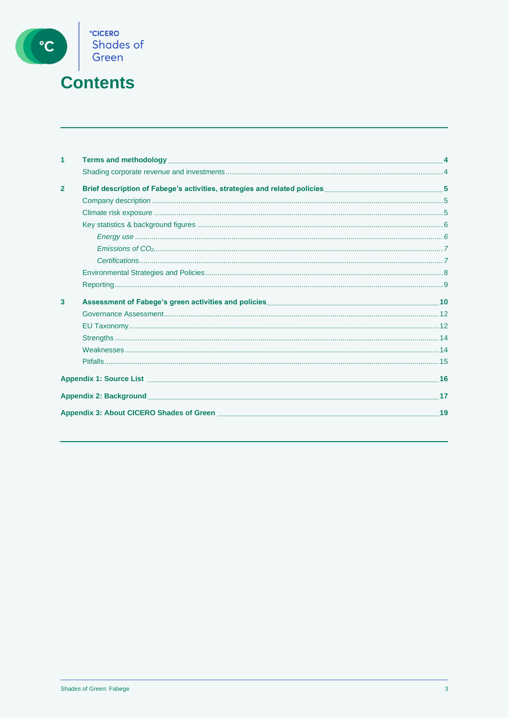

## **Contents**

| 1              |                                                                                                      |    |
|----------------|------------------------------------------------------------------------------------------------------|----|
|                |                                                                                                      |    |
| $\overline{2}$ | Brief description of Fabege's activities, strategies and related policies__________________________5 |    |
|                |                                                                                                      |    |
|                |                                                                                                      |    |
|                |                                                                                                      |    |
|                |                                                                                                      |    |
|                |                                                                                                      |    |
|                |                                                                                                      |    |
|                |                                                                                                      |    |
|                |                                                                                                      |    |
| 3              |                                                                                                      |    |
|                |                                                                                                      |    |
|                |                                                                                                      |    |
|                |                                                                                                      |    |
|                |                                                                                                      |    |
|                |                                                                                                      |    |
|                |                                                                                                      | 16 |
|                |                                                                                                      |    |
|                |                                                                                                      | 19 |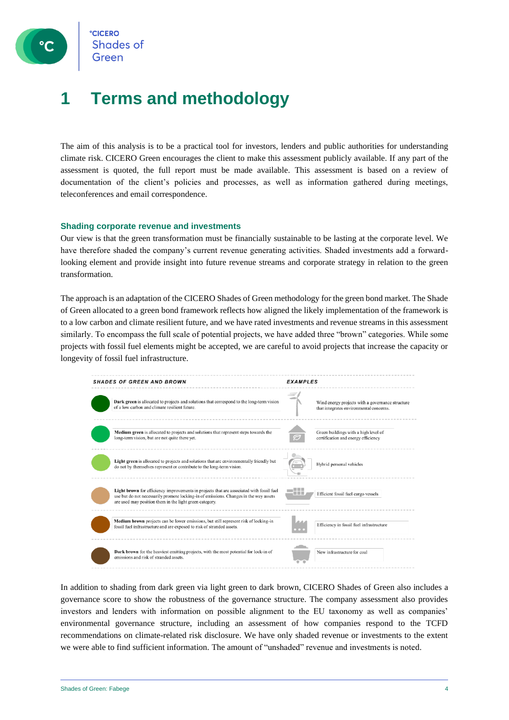

### **1 Terms and methodology**

The aim of this analysis is to be a practical tool for investors, lenders and public authorities for understanding climate risk. CICERO Green encourages the client to make this assessment publicly available. If any part of the assessment is quoted, the full report must be made available. This assessment is based on a review of documentation of the client's policies and processes, as well as information gathered during meetings, teleconferences and email correspondence.

#### **Shading corporate revenue and investments**

Our view is that the green transformation must be financially sustainable to be lasting at the corporate level. We have therefore shaded the company's current revenue generating activities. Shaded investments add a forwardlooking element and provide insight into future revenue streams and corporate strategy in relation to the green transformation.

The approach is an adaptation of the CICERO Shades of Green methodology for the green bond market. The Shade of Green allocated to a green bond framework reflects how aligned the likely implementation of the framework is to a low carbon and climate resilient future, and we have rated investments and revenue streams in this assessment similarly. To encompass the full scale of potential projects, we have added three "brown" categories. While some projects with fossil fuel elements might be accepted, we are careful to avoid projects that increase the capacity or longevity of fossil fuel infrastructure.



In addition to shading from dark green via light green to dark brown, CICERO Shades of Green also includes a governance score to show the robustness of the governance structure. The company assessment also provides investors and lenders with information on possible alignment to the EU taxonomy as well as companies' environmental governance structure, including an assessment of how companies respond to the TCFD recommendations on climate-related risk disclosure. We have only shaded revenue or investments to the extent we were able to find sufficient information. The amount of "unshaded" revenue and investments is noted.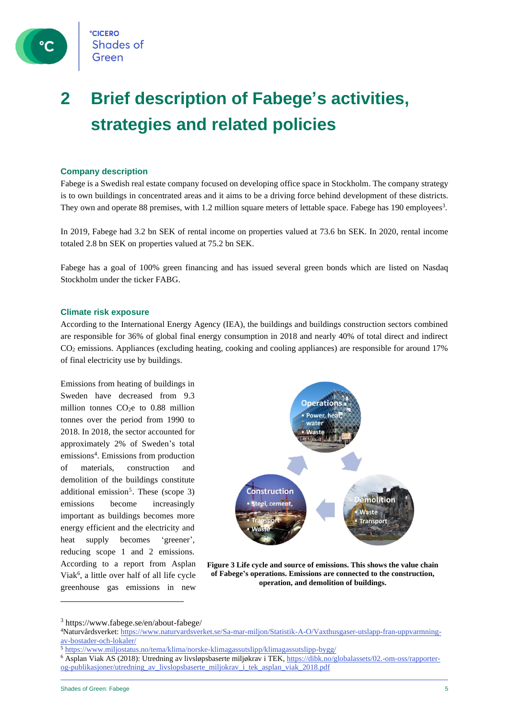

# **2 Brief description of Fabege's activities, strategies and related policies**

#### **Company description**

Fabege is a Swedish real estate company focused on developing office space in Stockholm. The company strategy is to own buildings in concentrated areas and it aims to be a driving force behind development of these districts. They own and operate 88 premises, with 1.2 million square meters of lettable space. Fabege has 190 employees<sup>3</sup>.

In 2019, Fabege had 3.2 bn SEK of rental income on properties valued at 73.6 bn SEK. In 2020, rental income totaled 2.8 bn SEK on properties valued at 75.2 bn SEK.

Fabege has a goal of 100% green financing and has issued several green bonds which are listed on Nasdaq Stockholm under the ticker FABG.

#### **Climate risk exposure**

According to the International Energy Agency (IEA), the buildings and buildings construction sectors combined are responsible for 36% of global final energy consumption in 2018 and nearly 40% of total direct and indirect CO<sup>2</sup> emissions. Appliances (excluding heating, cooking and cooling appliances) are responsible for around 17% of final electricity use by buildings.

Emissions from heating of buildings in Sweden have decreased from 9.3 million tonnes  $CO<sub>2</sub>e$  to 0.88 million tonnes over the period from 1990 to 2018. In 2018, the sector accounted for approximately 2% of Sweden's total emissions<sup>4</sup>. Emissions from production of materials, construction and demolition of the buildings constitute additional emission<sup>5</sup>. These (scope 3) emissions become increasingly important as buildings becomes more energy efficient and the electricity and heat supply becomes 'greener', reducing scope 1 and 2 emissions. According to a report from Asplan Viak<sup>6</sup>, a little over half of all life cycle greenhouse gas emissions in new



**Figure 3 Life cycle and source of emissions. This shows the value chain of Fabege's operations. Emissions are connected to the construction, operation, and demolition of buildings.**

<sup>3</sup> https://www.fabege.se/en/about-fabege/

<sup>4</sup>Naturvårdsverket: [https://www.naturvardsverket.se/Sa-mar-miljon/Statistik-A-O/Vaxthusgaser-utslapp-fran-uppvarmning](https://www.naturvardsverket.se/Sa-mar-miljon/Statistik-A-O/Vaxthusgaser-utslapp-fran-uppvarmning-av-bostader-och-lokaler/)[av-bostader-och-lokaler/](https://www.naturvardsverket.se/Sa-mar-miljon/Statistik-A-O/Vaxthusgaser-utslapp-fran-uppvarmning-av-bostader-och-lokaler/)

<sup>5</sup> <https://www.miljostatus.no/tema/klima/norske-klimagassutslipp/klimagassutslipp-bygg/>

<sup>6</sup> Asplan Viak AS (2018): Utredning av livsløpsbaserte miljøkrav i TEK[, https://dibk.no/globalassets/02.-om-oss/rapporter](https://eur02.safelinks.protection.outlook.com/?url=https%3A%2F%2Fdibk.no%2Fglobalassets%2F02.-om-oss%2Frapporter-og-publikasjoner%2Futredning_av_livslopsbaserte_miljokrav_i_tek_asplan_viak_2018.pdf&data=02%7C01%7Cknut.alfsen%40cicero.oslo.no%7C41372734339a4aa773b308d7a9bb812a%7C87ea3ab60d34424ea0c4cda82a2494bc%7C0%7C1%7C637164495120869283&sdata=utFk45BJneSHw04i%2FhnV%2FYYrKXHEY37d1pBzE9fcjZg%3D&reserved=0)[og-publikasjoner/utredning\\_av\\_livslopsbaserte\\_miljokrav\\_i\\_tek\\_asplan\\_viak\\_2018.pdf](https://eur02.safelinks.protection.outlook.com/?url=https%3A%2F%2Fdibk.no%2Fglobalassets%2F02.-om-oss%2Frapporter-og-publikasjoner%2Futredning_av_livslopsbaserte_miljokrav_i_tek_asplan_viak_2018.pdf&data=02%7C01%7Cknut.alfsen%40cicero.oslo.no%7C41372734339a4aa773b308d7a9bb812a%7C87ea3ab60d34424ea0c4cda82a2494bc%7C0%7C1%7C637164495120869283&sdata=utFk45BJneSHw04i%2FhnV%2FYYrKXHEY37d1pBzE9fcjZg%3D&reserved=0)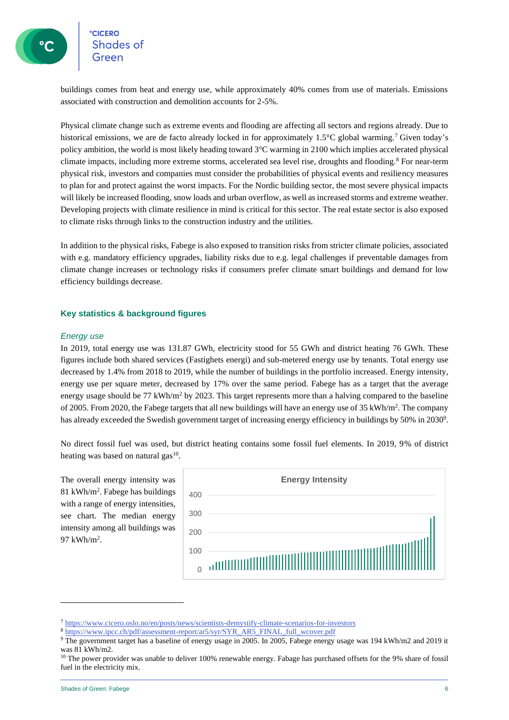buildings comes from heat and energy use, while approximately 40% comes from use of materials. Emissions associated with construction and demolition accounts for 2-5%.

Physical climate change such as extreme events and flooding are affecting all sectors and regions already. Due to historical emissions, we are de facto already locked in for approximately 1.5°C global warming.<sup>7</sup> Given today's policy ambition, the world is most likely heading toward 3°C warming in 2100 which implies accelerated physical climate impacts, including more extreme storms, accelerated sea level rise, droughts and flooding.<sup>8</sup> For near-term physical risk, investors and companies must consider the probabilities of physical events and resiliency measures to plan for and protect against the worst impacts. For the Nordic building sector, the most severe physical impacts will likely be increased flooding, snow loads and urban overflow, as well as increased storms and extreme weather. Developing projects with climate resilience in mind is critical for this sector. The real estate sector is also exposed to climate risks through links to the construction industry and the utilities.

In addition to the physical risks, Fabege is also exposed to transition risks from stricter climate policies, associated with e.g. mandatory efficiency upgrades, liability risks due to e.g. legal challenges if preventable damages from climate change increases or technology risks if consumers prefer climate smart buildings and demand for low efficiency buildings decrease.

#### **Key statistics & background figures**

#### *Energy use*

In 2019, total energy use was 131.87 GWh, electricity stood for 55 GWh and district heating 76 GWh. These figures include both shared services (Fastighets energi) and sub-metered energy use by tenants. Total energy use decreased by 1.4% from 2018 to 2019, while the number of buildings in the portfolio increased. Energy intensity, energy use per square meter, decreased by 17% over the same period. Fabege has as a target that the average energy usage should be 77 kWh/m<sup>2</sup> by 2023. This target represents more than a halving compared to the baseline of 2005. From 2020, the Fabege targets that all new buildings will have an energy use of 35 kWh/m<sup>2</sup>. The company has already exceeded the Swedish government target of increasing energy efficiency in buildings by 50% in 2030 $^9$ .

No direct fossil fuel was used, but district heating contains some fossil fuel elements. In 2019, 9% of district heating was based on natural gas<sup>10</sup>.

The overall energy intensity was 81 kWh/m<sup>2</sup> . Fabege has buildings with a range of energy intensities, see chart. The median energy intensity among all buildings was 97 kWh/m<sup>2</sup> .



<sup>7</sup> <https://www.cicero.oslo.no/en/posts/news/scientists-demystify-climate-scenarios-for-investors>

<sup>8</sup> [https://www.ipcc.ch/pdf/assessment-report/ar5/syr/SYR\\_AR5\\_FINAL\\_full\\_wcover.pdf](https://www.ipcc.ch/pdf/assessment-report/ar5/syr/SYR_AR5_FINAL_full_wcover.pdf)

<sup>9</sup> The government target has a baseline of energy usage in 2005. In 2005, Fabege energy usage was 194 kWh/m2 and 2019 it was 81 kWh/m2.

<sup>&</sup>lt;sup>10</sup> The power provider was unable to deliver 100% renewable energy. Fabage has purchased offsets for the 9% share of fossil fuel in the electricity mix.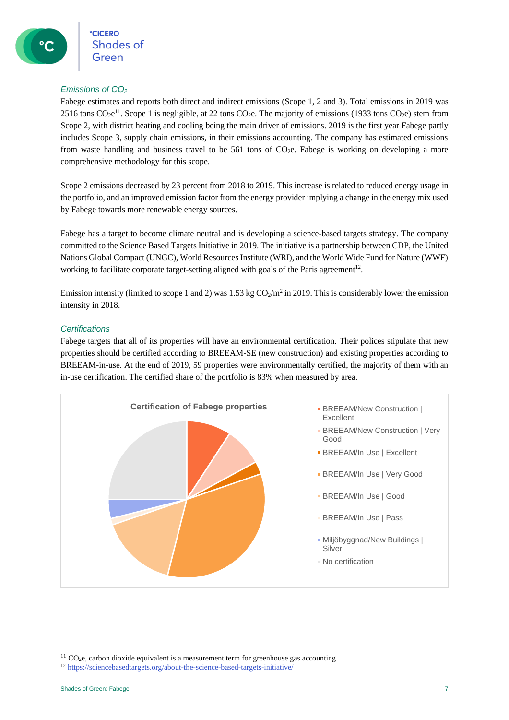#### *Emissions of CO<sup>2</sup>*

Fabege estimates and reports both direct and indirect emissions (Scope 1, 2 and 3). Total emissions in 2019 was 2516 tons  $CO_2e^{11}$ . Scope 1 is negligible, at 22 tons  $CO_2e$ . The majority of emissions (1933 tons  $CO_2e$ ) stem from Scope 2, with district heating and cooling being the main driver of emissions. 2019 is the first year Fabege partly includes Scope 3, supply chain emissions, in their emissions accounting. The company has estimated emissions from waste handling and business travel to be  $561$  tons of CO<sub>2</sub>e. Fabege is working on developing a more comprehensive methodology for this scope.

Scope 2 emissions decreased by 23 percent from 2018 to 2019. This increase is related to reduced energy usage in the portfolio, and an improved emission factor from the energy provider implying a change in the energy mix used by Fabege towards more renewable energy sources.

Fabege has a target to become climate neutral and is developing a science-based targets strategy. The company committed to the Science Based Targets Initiative in 2019. The initiative is a partnership between CDP, the United Nations Global Compact (UNGC), World Resources Institute (WRI), and the World Wide Fund for Nature (WWF) working to facilitate corporate target-setting aligned with goals of the Paris agreement<sup>12</sup>.

Emission intensity (limited to scope 1 and 2) was  $1.53 \text{ kg CO}_2/\text{m}^2$  in 2019. This is considerably lower the emission intensity in 2018.

#### *Certifications*

Fabege targets that all of its properties will have an environmental certification. Their polices stipulate that new properties should be certified according to BREEAM-SE (new construction) and existing properties according to BREEAM-in-use. At the end of 2019, 59 properties were environmentally certified, the majority of them with an in-use certification. The certified share of the portfolio is 83% when measured by area.



 $11$  CO<sub>2</sub>e, carbon dioxide equivalent is a measurement term for greenhouse gas accounting

<sup>12</sup> <https://sciencebasedtargets.org/about-the-science-based-targets-initiative/>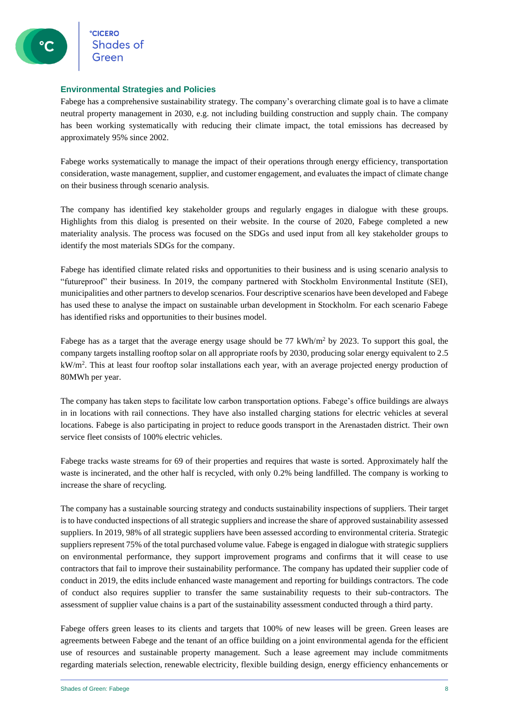**CICERO CICERO**<br>Shades of

#### **Environmental Strategies and Policies**

Fabege has a comprehensive sustainability strategy. The company's overarching climate goal is to have a climate neutral property management in 2030, e.g. not including building construction and supply chain. The company has been working systematically with reducing their climate impact, the total emissions has decreased by approximately 95% since 2002.

Fabege works systematically to manage the impact of their operations through energy efficiency, transportation consideration, waste management, supplier, and customer engagement, and evaluates the impact of climate change on their business through scenario analysis.

The company has identified key stakeholder groups and regularly engages in dialogue with these groups. Highlights from this dialog is presented on their website. In the course of 2020, Fabege completed a new materiality analysis. The process was focused on the SDGs and used input from all key stakeholder groups to identify the most materials SDGs for the company.

Fabege has identified climate related risks and opportunities to their business and is using scenario analysis to "futureproof" their business. In 2019, the company partnered with Stockholm Environmental Institute (SEI), municipalities and other partners to develop scenarios. Four descriptive scenarios have been developed and Fabege has used these to analyse the impact on sustainable urban development in Stockholm. For each scenario Fabege has identified risks and opportunities to their busines model.

Fabege has as a target that the average energy usage should be 77 kWh/m<sup>2</sup> by 2023. To support this goal, the company targets installing rooftop solar on all appropriate roofs by 2030, producing solar energy equivalent to 2.5 kW/m<sup>2</sup>. This at least four rooftop solar installations each year, with an average projected energy production of 80MWh per year.

The company has taken steps to facilitate low carbon transportation options. Fabege's office buildings are always in in locations with rail connections. They have also installed charging stations for electric vehicles at several locations. Fabege is also participating in project to reduce goods transport in the Arenastaden district. Their own service fleet consists of 100% electric vehicles.

Fabege tracks waste streams for 69 of their properties and requires that waste is sorted. Approximately half the waste is incinerated, and the other half is recycled, with only 0.2% being landfilled. The company is working to increase the share of recycling.

The company has a sustainable sourcing strategy and conducts sustainability inspections of suppliers. Their target is to have conducted inspections of all strategic suppliers and increase the share of approved sustainability assessed suppliers. In 2019, 98% of all strategic suppliers have been assessed according to environmental criteria. Strategic suppliers represent 75% of the total purchased volume value. Fabege is engaged in dialogue with strategic suppliers on environmental performance, they support improvement programs and confirms that it will cease to use contractors that fail to improve their sustainability performance. The company has updated their supplier code of conduct in 2019, the edits include enhanced waste management and reporting for buildings contractors. The code of conduct also requires supplier to transfer the same sustainability requests to their sub-contractors. The assessment of supplier value chains is a part of the sustainability assessment conducted through a third party.

Fabege offers green leases to its clients and targets that 100% of new leases will be green. Green leases are agreements between Fabege and the tenant of an office building on a joint environmental agenda for the efficient use of resources and sustainable property management. Such a lease agreement may include commitments regarding materials selection, renewable electricity, flexible building design, energy efficiency enhancements or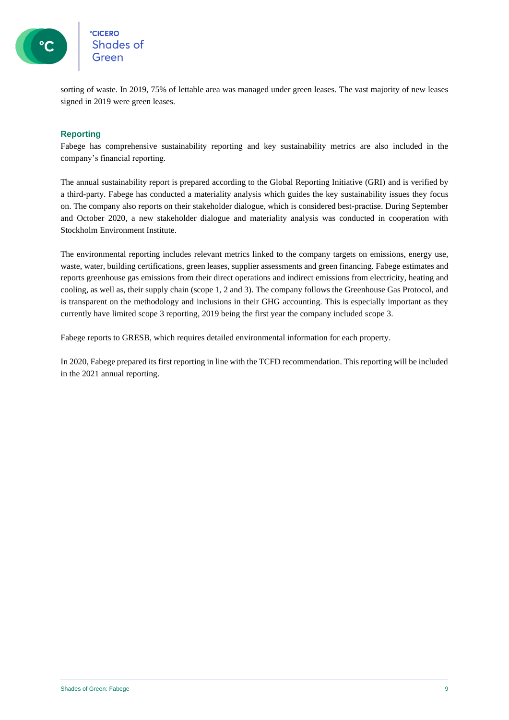

sorting of waste. In 2019, 75% of lettable area was managed under green leases. The vast majority of new leases signed in 2019 were green leases.

#### **Reporting**

Fabege has comprehensive sustainability reporting and key sustainability metrics are also included in the company's financial reporting.

The annual sustainability report is prepared according to the Global Reporting Initiative (GRI) and is verified by a third-party. Fabege has conducted a materiality analysis which guides the key sustainability issues they focus on. The company also reports on their stakeholder dialogue, which is considered best-practise. During September and October 2020, a new stakeholder dialogue and materiality analysis was conducted in cooperation with Stockholm Environment Institute.

The environmental reporting includes relevant metrics linked to the company targets on emissions, energy use, waste, water, building certifications, green leases, supplier assessments and green financing. Fabege estimates and reports greenhouse gas emissions from their direct operations and indirect emissions from electricity, heating and cooling, as well as, their supply chain (scope 1, 2 and 3). The company follows the Greenhouse Gas Protocol, and is transparent on the methodology and inclusions in their GHG accounting. This is especially important as they currently have limited scope 3 reporting, 2019 being the first year the company included scope 3.

Fabege reports to GRESB, which requires detailed environmental information for each property.

In 2020, Fabege prepared its first reporting in line with the TCFD recommendation. This reporting will be included in the 2021 annual reporting.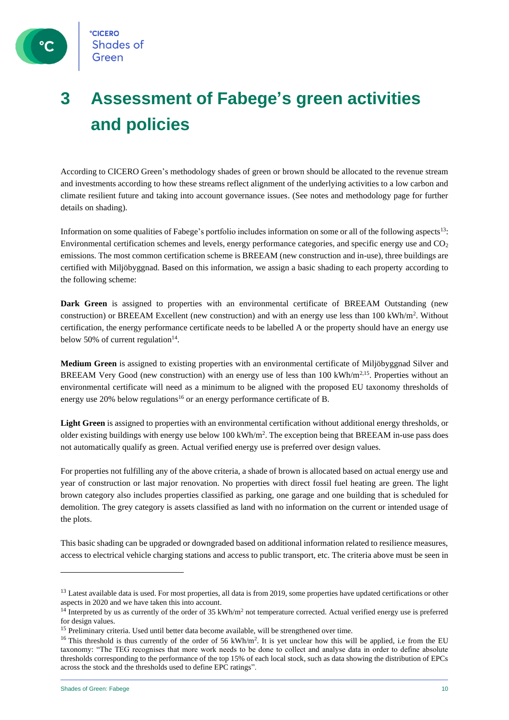# **3 Assessment of Fabege's green activities and policies**

According to CICERO Green's methodology shades of green or brown should be allocated to the revenue stream and investments according to how these streams reflect alignment of the underlying activities to a low carbon and climate resilient future and taking into account governance issues. (See notes and methodology page for further details on shading).

Information on some qualities of Fabege's portfolio includes information on some or all of the following aspects<sup>13</sup>: Environmental certification schemes and levels, energy performance categories, and specific energy use and CO<sub>2</sub> emissions. The most common certification scheme is BREEAM (new construction and in-use), three buildings are certified with Miljöbyggnad. Based on this information, we assign a basic shading to each property according to the following scheme:

**Dark Green** is assigned to properties with an environmental certificate of BREEAM Outstanding (new construction) or BREEAM Excellent (new construction) and with an energy use less than  $100 \text{ kWh/m}^2$ . Without certification, the energy performance certificate needs to be labelled A or the property should have an energy use below 50% of current regulation $14$ .

**Medium Green** is assigned to existing properties with an environmental certificate of Miljöbyggnad Silver and BREEAM Very Good (new construction) with an energy use of less than 100 kWh/m<sup>2,15</sup>. Properties without an environmental certificate will need as a minimum to be aligned with the proposed EU taxonomy thresholds of energy use 20% below regulations<sup>16</sup> or an energy performance certificate of B.

**Light Green** is assigned to properties with an environmental certification without additional energy thresholds, or older existing buildings with energy use below 100 kWh/m<sup>2</sup>. The exception being that BREEAM in-use pass does not automatically qualify as green. Actual verified energy use is preferred over design values.

For properties not fulfilling any of the above criteria, a shade of brown is allocated based on actual energy use and year of construction or last major renovation. No properties with direct fossil fuel heating are green. The light brown category also includes properties classified as parking, one garage and one building that is scheduled for demolition. The grey category is assets classified as land with no information on the current or intended usage of the plots.

This basic shading can be upgraded or downgraded based on additional information related to resilience measures, access to electrical vehicle charging stations and access to public transport, etc. The criteria above must be seen in

<sup>&</sup>lt;sup>13</sup> Latest available data is used. For most properties, all data is from 2019, some properties have updated certifications or other aspects in 2020 and we have taken this into account.

 $14$  Interpreted by us as currently of the order of 35 kWh/m<sup>2</sup> not temperature corrected. Actual verified energy use is preferred for design values.

<sup>&</sup>lt;sup>15</sup> Preliminary criteria. Used until better data become available, will be strengthened over time.

<sup>&</sup>lt;sup>16</sup> This threshold is thus currently of the order of 56 kWh/m<sup>2</sup>. It is yet unclear how this will be applied, i.e from the EU taxonomy: "The TEG recognises that more work needs to be done to collect and analyse data in order to define absolute thresholds corresponding to the performance of the top 15% of each local stock, such as data showing the distribution of EPCs across the stock and the thresholds used to define EPC ratings".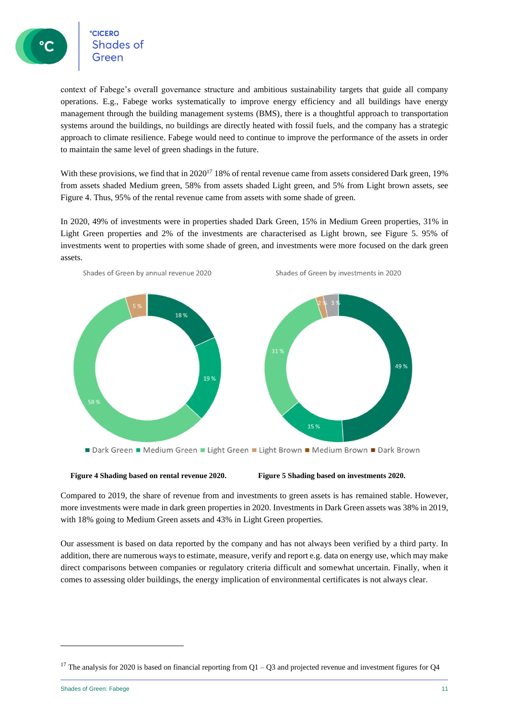context of Fabege's overall governance structure and ambitious sustainability targets that guide all company operations. E.g., Fabege works systematically to improve energy efficiency and all buildings have energy management through the building management systems (BMS), there is a thoughtful approach to transportation systems around the buildings, no buildings are directly heated with fossil fuels, and the company has a strategic approach to climate resilience. Fabege would need to continue to improve the performance of the assets in order to maintain the same level of green shadings in the future.

With these provisions, we find that in 2020<sup>17</sup> 18% of rental revenue came from assets considered Dark green, 19% from assets shaded Medium green, 58% from assets shaded Light green, and 5% from Light brown assets, see Figure 4. Thus, 95% of the rental revenue came from assets with some shade of green.

In 2020, 49% of investments were in properties shaded Dark Green, 15% in Medium Green properties, 31% in Light Green properties and 2% of the investments are characterised as Light brown, see Figure 5. 95% of investments went to properties with some shade of green, and investments were more focused on the dark green assets.



**Figure 4 Shading based on rental revenue 2020. Figure 5 Shading based on investments 2020.**

Compared to 2019, the share of revenue from and investments to green assets is has remained stable. However, more investments were made in dark green properties in 2020. Investments in Dark Green assets was 38% in 2019, with 18% going to Medium Green assets and 43% in Light Green properties.

Our assessment is based on data reported by the company and has not always been verified by a third party. In addition, there are numerous ways to estimate, measure, verify and report e.g. data on energy use, which may make direct comparisons between companies or regulatory criteria difficult and somewhat uncertain. Finally, when it comes to assessing older buildings, the energy implication of environmental certificates is not always clear.

<sup>&</sup>lt;sup>17</sup> The analysis for 2020 is based on financial reporting from  $Q1 - Q3$  and projected revenue and investment figures for  $Q4$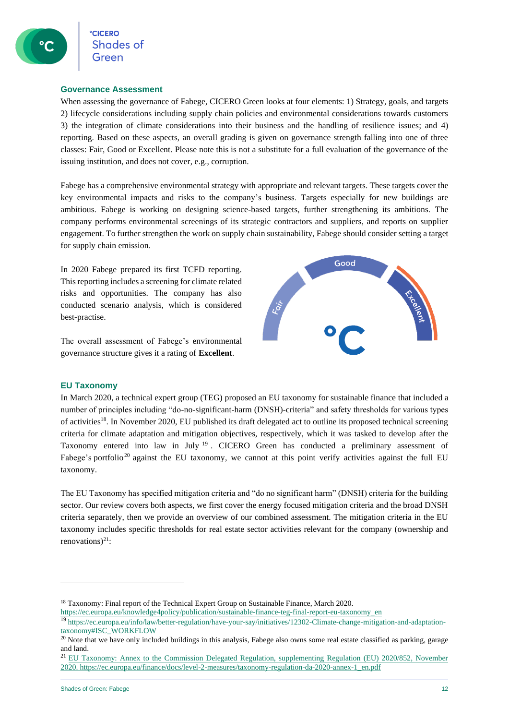#### **Governance Assessment**

When assessing the governance of Fabege, CICERO Green looks at four elements: 1) Strategy, goals, and targets 2) lifecycle considerations including supply chain policies and environmental considerations towards customers 3) the integration of climate considerations into their business and the handling of resilience issues; and 4) reporting. Based on these aspects, an overall grading is given on governance strength falling into one of three classes: Fair, Good or Excellent. Please note this is not a substitute for a full evaluation of the governance of the issuing institution, and does not cover, e.g., corruption.

Fabege has a comprehensive environmental strategy with appropriate and relevant targets. These targets cover the key environmental impacts and risks to the company's business. Targets especially for new buildings are ambitious. Fabege is working on designing science-based targets, further strengthening its ambitions. The company performs environmental screenings of its strategic contractors and suppliers, and reports on supplier engagement. To further strengthen the work on supply chain sustainability, Fabege should consider setting a target for supply chain emission.

In 2020 Fabege prepared its first TCFD reporting. This reporting includes a screening for climate related risks and opportunities. The company has also conducted scenario analysis, which is considered best-practise.

The overall assessment of Fabege's environmental governance structure gives it a rating of **Excellent**.



#### **EU Taxonomy**

In March 2020, a technical expert group (TEG) proposed an EU taxonomy for sustainable finance that included a number of principles including "do-no-significant-harm (DNSH)-criteria" and safety thresholds for various types of activities<sup>18</sup>. In November 2020, EU published its draft delegated act to outline its proposed technical screening criteria for climate adaptation and mitigation objectives, respectively, which it was tasked to develop after the Taxonomy entered into law in July <sup>19</sup>. CICERO Green has conducted a preliminary assessment of Fabege's portfolio<sup>20</sup> against the EU taxonomy, we cannot at this point verify activities against the full EU taxonomy.

The EU Taxonomy has specified mitigation criteria and "do no significant harm" (DNSH) criteria for the building sector. Our review covers both aspects, we first cover the energy focused mitigation criteria and the broad DNSH criteria separately, then we provide an overview of our combined assessment. The mitigation criteria in the EU taxonomy includes specific thresholds for real estate sector activities relevant for the company (ownership and renovations) $^{21}$ :

<sup>&</sup>lt;sup>18</sup> Taxonomy: Final report of the Technical Expert Group on Sustainable Finance, March 2020.

[https://ec.europa.eu/knowledge4policy/publication/sustainable-finance-teg-final-report-eu-taxonomy\\_en](https://ec.europa.eu/knowledge4policy/publication/sustainable-finance-teg-final-report-eu-taxonomy_en)

<sup>19</sup> [https://ec.europa.eu/info/law/better-regulation/have-your-say/initiatives/12302-Climate-change-mitigation-and-adaptation](https://ec.europa.eu/info/law/better-regulation/have-your-say/initiatives/12302-Climate-change-mitigation-and-adaptation-taxonomy#ISC_WORKFLOW)[taxonomy#ISC\\_WORKFLOW](https://ec.europa.eu/info/law/better-regulation/have-your-say/initiatives/12302-Climate-change-mitigation-and-adaptation-taxonomy#ISC_WORKFLOW)

<sup>&</sup>lt;sup>20</sup> Note that we have only included buildings in this analysis, Fabege also owns some real estate classified as parking, garage and land.

<sup>&</sup>lt;sup>21</sup> EU Taxonomy: Annex to the Commission Delegated Regulation, supplementing Regulation (EU) 2020/852, November 2020. [https://ec.europa.eu/finance/docs/level-2-measures/taxonomy-regulation-da-2020-annex-1\\_en.pdf](https://ec.europa.eu/finance/docs/level-2-measures/taxonomy-regulation-da-2020-annex-1_en.pdf)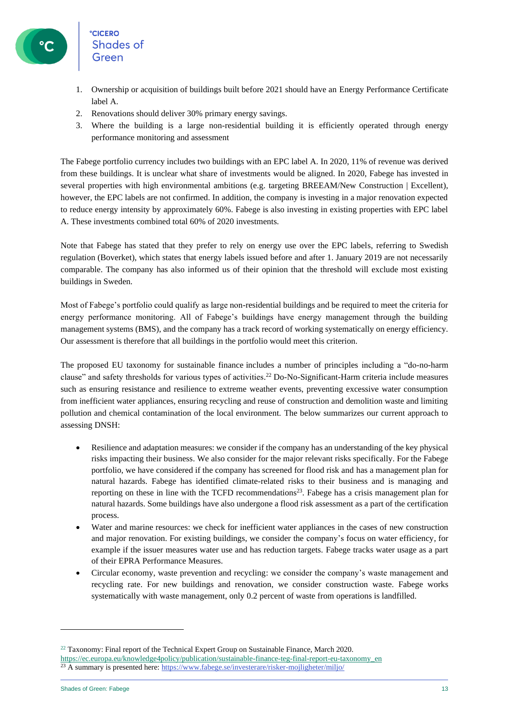- 1. Ownership or acquisition of buildings built before 2021 should have an Energy Performance Certificate label A.
- 2. Renovations should deliver 30% primary energy savings.
- 3. Where the building is a large non-residential building it is efficiently operated through energy performance monitoring and assessment

The Fabege portfolio currency includes two buildings with an EPC label A. In 2020, 11% of revenue was derived from these buildings. It is unclear what share of investments would be aligned. In 2020, Fabege has invested in several properties with high environmental ambitions (e.g. targeting BREEAM/New Construction | Excellent), however, the EPC labels are not confirmed. In addition, the company is investing in a major renovation expected to reduce energy intensity by approximately 60%. Fabege is also investing in existing properties with EPC label A. These investments combined total 60% of 2020 investments.

Note that Fabege has stated that they prefer to rely on energy use over the EPC labels, referring to Swedish regulation (Boverket), which states that energy labels issued before and after 1. January 2019 are not necessarily comparable. The company has also informed us of their opinion that the threshold will exclude most existing buildings in Sweden.

Most of Fabege's portfolio could qualify as large non-residential buildings and be required to meet the criteria for energy performance monitoring. All of Fabege's buildings have energy management through the building management systems (BMS), and the company has a track record of working systematically on energy efficiency. Our assessment is therefore that all buildings in the portfolio would meet this criterion.

The proposed EU taxonomy for sustainable finance includes a number of principles including a "do-no-harm clause" and safety thresholds for various types of activities. <sup>22</sup> Do-No-Significant-Harm criteria include measures such as ensuring resistance and resilience to extreme weather events, preventing excessive water consumption from inefficient water appliances, ensuring recycling and reuse of construction and demolition waste and limiting pollution and chemical contamination of the local environment. The below summarizes our current approach to assessing DNSH:

- Resilience and adaptation measures: we consider if the company has an understanding of the key physical risks impacting their business. We also consider for the major relevant risks specifically. For the Fabege portfolio, we have considered if the company has screened for flood risk and has a management plan for natural hazards. Fabege has identified climate-related risks to their business and is managing and reporting on these in line with the TCFD recommendations<sup>23</sup>. Fabege has a crisis management plan for natural hazards. Some buildings have also undergone a flood risk assessment as a part of the certification process.
- Water and marine resources: we check for inefficient water appliances in the cases of new construction and major renovation. For existing buildings, we consider the company's focus on water efficiency, for example if the issuer measures water use and has reduction targets. Fabege tracks water usage as a part of their EPRA Performance Measures.
- Circular economy, waste prevention and recycling: we consider the company's waste management and recycling rate. For new buildings and renovation, we consider construction waste. Fabege works systematically with waste management, only 0.2 percent of waste from operations is landfilled.

 $22$  Taxonomy: Final report of the Technical Expert Group on Sustainable Finance, March 2020.

[https://ec.europa.eu/knowledge4policy/publication/sustainable-finance-teg-final-report-eu-taxonomy\\_en](https://ec.europa.eu/knowledge4policy/publication/sustainable-finance-teg-final-report-eu-taxonomy_en)

<sup>&</sup>lt;sup>23</sup> A summary is presented here:<https://www.fabege.se/investerare/risker-mojligheter/miljo/>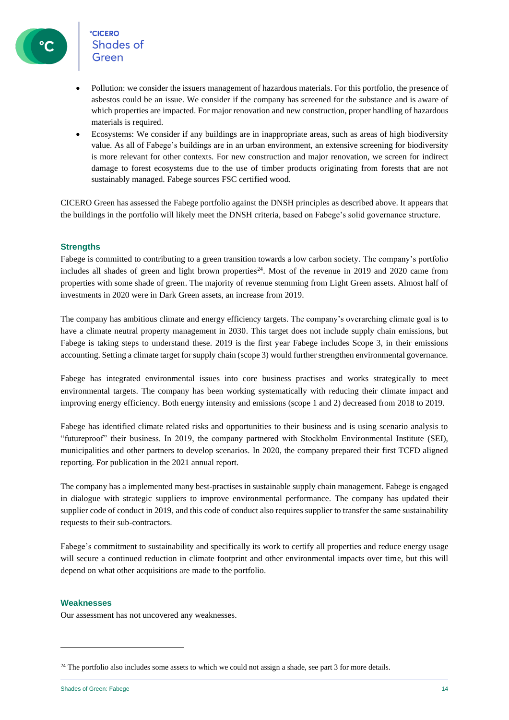

- Pollution: we consider the issuers management of hazardous materials. For this portfolio, the presence of asbestos could be an issue. We consider if the company has screened for the substance and is aware of which properties are impacted. For major renovation and new construction, proper handling of hazardous materials is required.
- Ecosystems: We consider if any buildings are in inappropriate areas, such as areas of high biodiversity value. As all of Fabege's buildings are in an urban environment, an extensive screening for biodiversity is more relevant for other contexts. For new construction and major renovation, we screen for indirect damage to forest ecosystems due to the use of timber products originating from forests that are not sustainably managed. Fabege sources FSC certified wood.

CICERO Green has assessed the Fabege portfolio against the DNSH principles as described above. It appears that the buildings in the portfolio will likely meet the DNSH criteria, based on Fabege's solid governance structure.

#### **Strengths**

Fabege is committed to contributing to a green transition towards a low carbon society. The company's portfolio includes all shades of green and light brown properties<sup>24</sup>. Most of the revenue in 2019 and 2020 came from properties with some shade of green. The majority of revenue stemming from Light Green assets. Almost half of investments in 2020 were in Dark Green assets, an increase from 2019.

The company has ambitious climate and energy efficiency targets. The company's overarching climate goal is to have a climate neutral property management in 2030. This target does not include supply chain emissions, but Fabege is taking steps to understand these. 2019 is the first year Fabege includes Scope 3, in their emissions accounting. Setting a climate target for supply chain (scope 3) would further strengthen environmental governance.

Fabege has integrated environmental issues into core business practises and works strategically to meet environmental targets. The company has been working systematically with reducing their climate impact and improving energy efficiency. Both energy intensity and emissions (scope 1 and 2) decreased from 2018 to 2019.

Fabege has identified climate related risks and opportunities to their business and is using scenario analysis to "futureproof" their business. In 2019, the company partnered with Stockholm Environmental Institute (SEI), municipalities and other partners to develop scenarios. In 2020, the company prepared their first TCFD aligned reporting. For publication in the 2021 annual report.

The company has a implemented many best-practises in sustainable supply chain management. Fabege is engaged in dialogue with strategic suppliers to improve environmental performance. The company has updated their supplier code of conduct in 2019, and this code of conduct also requires supplier to transfer the same sustainability requests to their sub-contractors.

Fabege's commitment to sustainability and specifically its work to certify all properties and reduce energy usage will secure a continued reduction in climate footprint and other environmental impacts over time, but this will depend on what other acquisitions are made to the portfolio.

#### **Weaknesses**

Our assessment has not uncovered any weaknesses.

<sup>&</sup>lt;sup>24</sup> The portfolio also includes some assets to which we could not assign a shade, see part 3 for more details.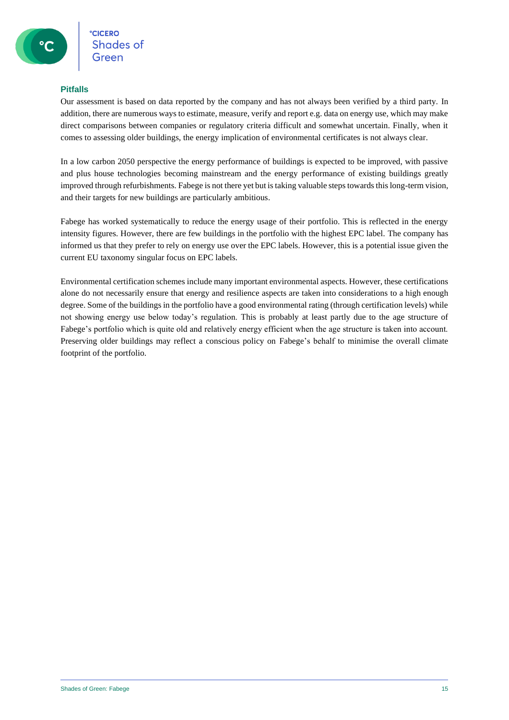#### **Pitfalls**

Our assessment is based on data reported by the company and has not always been verified by a third party. In addition, there are numerous ways to estimate, measure, verify and report e.g. data on energy use, which may make direct comparisons between companies or regulatory criteria difficult and somewhat uncertain. Finally, when it comes to assessing older buildings, the energy implication of environmental certificates is not always clear.

In a low carbon 2050 perspective the energy performance of buildings is expected to be improved, with passive and plus house technologies becoming mainstream and the energy performance of existing buildings greatly improved through refurbishments. Fabege is not there yet but is taking valuable steps towards this long-term vision, and their targets for new buildings are particularly ambitious.

Fabege has worked systematically to reduce the energy usage of their portfolio. This is reflected in the energy intensity figures. However, there are few buildings in the portfolio with the highest EPC label. The company has informed us that they prefer to rely on energy use over the EPC labels. However, this is a potential issue given the current EU taxonomy singular focus on EPC labels.

Environmental certification schemes include many important environmental aspects. However, these certifications alone do not necessarily ensure that energy and resilience aspects are taken into considerations to a high enough degree. Some of the buildings in the portfolio have a good environmental rating (through certification levels) while not showing energy use below today's regulation. This is probably at least partly due to the age structure of Fabege's portfolio which is quite old and relatively energy efficient when the age structure is taken into account. Preserving older buildings may reflect a conscious policy on Fabege's behalf to minimise the overall climate footprint of the portfolio.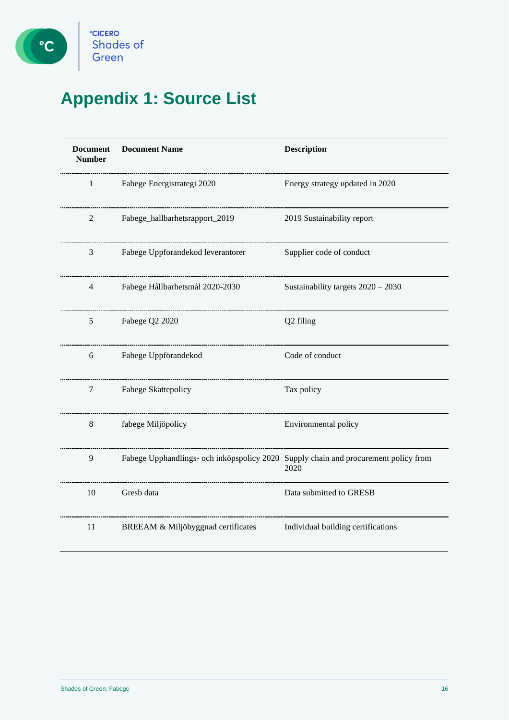

# **Appendix 1: Source List**

| <b>Document</b><br><b>Number</b> | <b>Document Name</b>                                                                | <b>Description</b>                 |  |
|----------------------------------|-------------------------------------------------------------------------------------|------------------------------------|--|
| 1                                | Fabege Energistrategi 2020                                                          | Energy strategy updated in 2020    |  |
| $\overline{c}$                   | Fabege_hallbarhetsrapport_2019                                                      | 2019 Sustainability report         |  |
| 3                                | Fabege Uppforandekod leverantorer                                                   | Supplier code of conduct           |  |
| 4                                | Fabege Hållbarhetsmål 2020-2030                                                     | Sustainability targets 2020 - 2030 |  |
| 5                                | Fabege Q2 2020                                                                      | Q2 filing                          |  |
| 6                                | Fabege Uppförandekod                                                                | Code of conduct                    |  |
| 7                                | Fabege Skattepolicy                                                                 | Tax policy                         |  |
| $8\,$                            | fabege Miljöpolicy                                                                  | Environmental policy               |  |
| 9                                | Fabege Upphandlings- och inköpspolicy 2020 Supply chain and procurement policy from | 2020                               |  |
| 10                               | Gresb data                                                                          | Data submitted to GRESB            |  |
| 11                               | BREEAM & Miljöbyggnad certificates                                                  | Individual building certifications |  |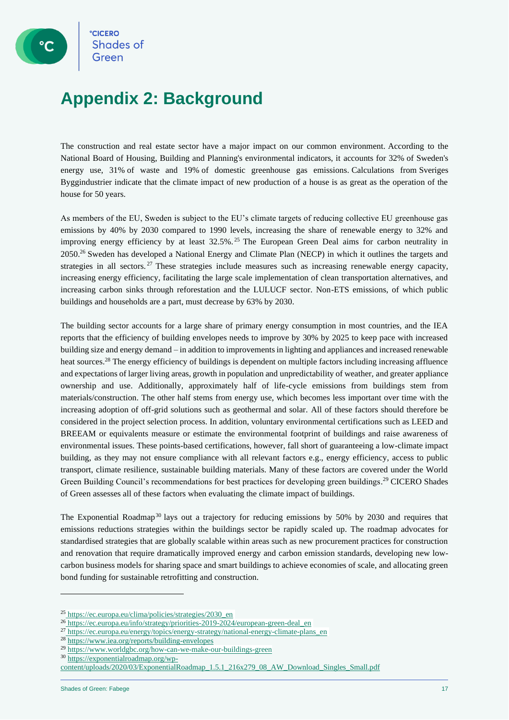## **Appendix 2: Background**

The construction and real estate sector have a major impact on our common environment. According to the National Board of Housing, Building and Planning's environmental indicators, it accounts for 32% of Sweden's energy use, 31% of waste and 19% of domestic greenhouse gas emissions. Calculations from Sveriges Byggindustrier indicate that the climate impact of new production of a house is as great as the operation of the house for 50 years.

As members of the EU, Sweden is subject to the EU's climate targets of reducing collective EU greenhouse gas emissions by 40% by 2030 compared to 1990 levels, increasing the share of renewable energy to 32% and improving energy efficiency by at least 32.5%.<sup>25</sup> The European Green Deal aims for carbon neutrality in 2050.<sup>26</sup> Sweden has developed a National Energy and Climate Plan (NECP) in which it outlines the targets and strategies in all sectors.<sup>27</sup> These strategies include measures such as increasing renewable energy capacity, increasing energy efficiency, facilitating the large scale implementation of clean transportation alternatives, and increasing carbon sinks through reforestation and the LULUCF sector. Non-ETS emissions, of which public buildings and households are a part, must decrease by 63% by 2030.

The building sector accounts for a large share of primary energy consumption in most countries, and the IEA reports that the efficiency of building envelopes needs to improve by 30% by 2025 to keep pace with increased building size and energy demand – in addition to improvements in lighting and appliances and increased renewable heat sources.<sup>28</sup> The energy efficiency of buildings is dependent on multiple factors including increasing affluence and expectations of larger living areas, growth in population and unpredictability of weather, and greater appliance ownership and use. Additionally, approximately half of life-cycle emissions from buildings stem from materials/construction. The other half stems from energy use, which becomes less important over time with the increasing adoption of off-grid solutions such as geothermal and solar. All of these factors should therefore be considered in the project selection process. In addition, voluntary environmental certifications such as LEED and BREEAM or equivalents measure or estimate the environmental footprint of buildings and raise awareness of environmental issues. These points-based certifications, however, fall short of guaranteeing a low-climate impact building, as they may not ensure compliance with all relevant factors e.g., energy efficiency, access to public transport, climate resilience, sustainable building materials. Many of these factors are covered under the World Green Building Council's recommendations for best practices for developing green buildings.<sup>29</sup> CICERO Shades of Green assesses all of these factors when evaluating the climate impact of buildings.

The Exponential Roadmap<sup>30</sup> lays out a trajectory for reducing emissions by 50% by 2030 and requires that emissions reductions strategies within the buildings sector be rapidly scaled up. The roadmap advocates for standardised strategies that are globally scalable within areas such as new procurement practices for construction and renovation that require dramatically improved energy and carbon emission standards, developing new lowcarbon business models for sharing space and smart buildings to achieve economies of scale, and allocating green bond funding for sustainable retrofitting and construction.

<sup>25</sup> [https://ec.europa.eu/clima/policies/strategies/2030\\_en](https://ec.europa.eu/clima/policies/strategies/2030_en)

<sup>26</sup> [https://ec.europa.eu/info/strategy/priorities-2019-2024/european-green-deal\\_en](https://ec.europa.eu/info/strategy/priorities-2019-2024/european-green-deal_en)

<sup>&</sup>lt;sup>27</sup> [https://ec.europa.eu/energy/topics/energy-strategy/national-energy-climate-plans\\_en](https://ec.europa.eu/energy/topics/energy-strategy/national-energy-climate-plans_en)

<sup>28</sup> <https://www.iea.org/reports/building-envelopes>

<sup>29</sup> <https://www.worldgbc.org/how-can-we-make-our-buildings-green>

<sup>30</sup> [https://exponentialroadmap.org/wp-](https://exponentialroadmap.org/wp-content/uploads/2020/03/ExponentialRoadmap_1.5.1_216x279_08_AW_Download_Singles_Small.pdf)

[content/uploads/2020/03/ExponentialRoadmap\\_1.5.1\\_216x279\\_08\\_AW\\_Download\\_Singles\\_Small.pdf](https://exponentialroadmap.org/wp-content/uploads/2020/03/ExponentialRoadmap_1.5.1_216x279_08_AW_Download_Singles_Small.pdf)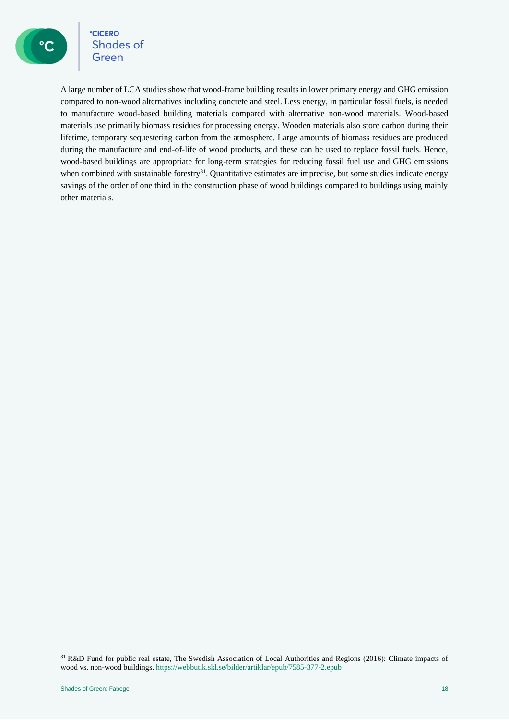**CICERO** Shades of Green

A large number of LCA studies show that wood-frame building results in lower primary energy and GHG emission compared to non-wood alternatives including concrete and steel. Less energy, in particular fossil fuels, is needed to manufacture wood-based building materials compared with alternative non-wood materials. Wood-based materials use primarily biomass residues for processing energy. Wooden materials also store carbon during their lifetime, temporary sequestering carbon from the atmosphere. Large amounts of biomass residues are produced during the manufacture and end-of-life of wood products, and these can be used to replace fossil fuels. Hence, wood-based buildings are appropriate for long-term strategies for reducing fossil fuel use and GHG emissions when combined with sustainable forestry<sup>31</sup>. Quantitative estimates are imprecise, but some studies indicate energy savings of the order of one third in the construction phase of wood buildings compared to buildings using mainly other materials.

<sup>31</sup> R&D Fund for public real estate, The Swedish Association of Local Authorities and Regions (2016): Climate impacts of wood vs. non-wood buildings[. https://webbutik.skl.se/bilder/artiklar/epub/7585-377-2.epub](https://webbutik.skl.se/bilder/artiklar/epub/7585-377-2.epub)